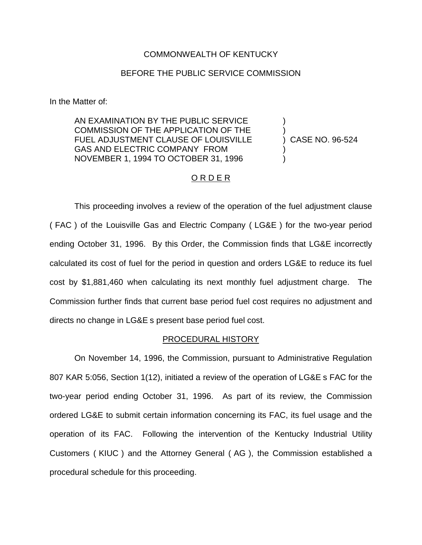### COMMONWEALTH OF KENTUCKY

### BEFORE THE PUBLIC SERVICE COMMISSION

In the Matter of:

AN EXAMINATION BY THE PUBLIC SERVICE COMMISSION OF THE APPLICATION OF THE FUEL ADJUSTMENT CLAUSE OF LOUISVILLE GAS AND ELECTRIC COMPANY FROM NOVEMBER 1, 1994 TO OCTOBER 31, 1996

) CASE NO. 96-524

) )

) )

### ORDER

This proceeding involves a review of the operation of the fuel adjustment clause ( FAC ) of the Louisville Gas and Electric Company ( LG&E ) for the two-year period ending October 31, 1996. By this Order, the Commission finds that LG&E incorrectly calculated its cost of fuel for the period in question and orders LG&E to reduce its fuel cost by \$1,881,460 when calculating its next monthly fuel adjustment charge. The Commission further finds that current base period fuel cost requires no adjustment and directs no change in LG&E s present base period fuel cost.

#### PROCEDURAL HISTORY

On November 14, 1996, the Commission, pursuant to Administrative Regulation 807 KAR 5:056, Section 1(12), initiated a review of the operation of LG&E s FAC for the two-year period ending October 31, 1996. As part of its review, the Commission ordered LG&E to submit certain information concerning its FAC, its fuel usage and the operation of its FAC. Following the intervention of the Kentucky Industrial Utility Customers ( KIUC ) and the Attorney General ( AG ), the Commission established a procedural schedule for this proceeding.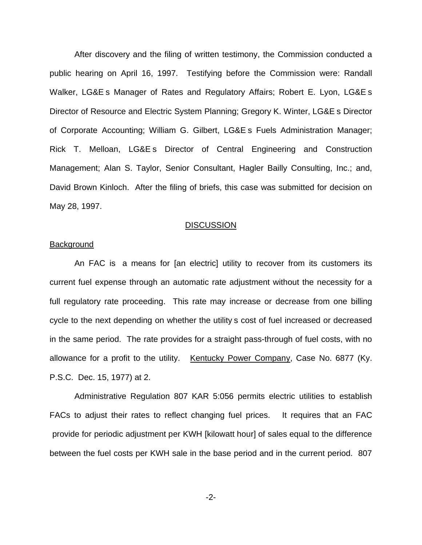After discovery and the filing of written testimony, the Commission conducted a public hearing on April 16, 1997. Testifying before the Commission were: Randall Walker, LG&E s Manager of Rates and Regulatory Affairs; Robert E. Lyon, LG&E s Director of Resource and Electric System Planning; Gregory K. Winter, LG&E s Director of Corporate Accounting; William G. Gilbert, LG&E s Fuels Administration Manager; Rick T. Melloan, LG&E s Director of Central Engineering and Construction Management; Alan S. Taylor, Senior Consultant, Hagler Bailly Consulting, Inc.; and, David Brown Kinloch. After the filing of briefs, this case was submitted for decision on May 28, 1997.

#### **DISCUSSION**

### Background

An FAC is a means for [an electric] utility to recover from its customers its current fuel expense through an automatic rate adjustment without the necessity for a full regulatory rate proceeding. This rate may increase or decrease from one billing cycle to the next depending on whether the utility s cost of fuel increased or decreased in the same period. The rate provides for a straight pass-through of fuel costs, with no allowance for a profit to the utility. Kentucky Power Company, Case No. 6877 (Ky. P.S.C. Dec. 15, 1977) at 2.

Administrative Regulation 807 KAR 5:056 permits electric utilities to establish FACs to adjust their rates to reflect changing fuel prices. It requires that an FAC provide for periodic adjustment per KWH [kilowatt hour] of sales equal to the difference between the fuel costs per KWH sale in the base period and in the current period. 807

-2-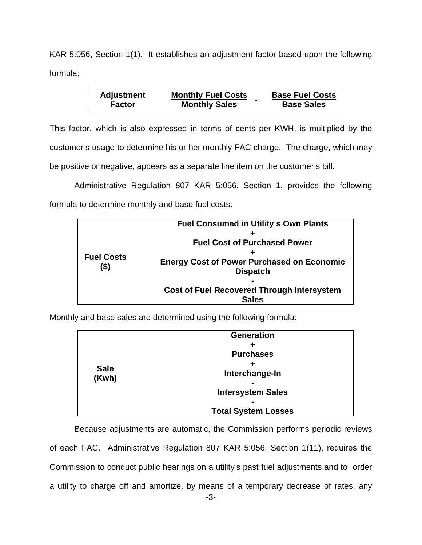KAR 5:056, Section 1(1). It establishes an adjustment factor based upon the following formula:

| <b>Adjustment</b> | <b>Monthly Fuel Costs</b> | <b>Base Fuel Costs</b> |
|-------------------|---------------------------|------------------------|
| <b>Factor</b>     | <b>Monthly Sales</b>      | <b>Base Sales</b>      |

This factor, which is also expressed in terms of cents per KWH, is multiplied by the customer s usage to determine his or her monthly FAC charge. The charge, which may be positive or negative, appears as a separate line item on the customer s bill.

Administrative Regulation 807 KAR 5:056, Section 1, provides the following formula to determine monthly and base fuel costs:

| <b>Fuel Costs</b><br>$($ \$) | <b>Fuel Consumed in Utility s Own Plants</b>      |  |
|------------------------------|---------------------------------------------------|--|
|                              |                                                   |  |
|                              | <b>Fuel Cost of Purchased Power</b>               |  |
|                              |                                                   |  |
|                              | <b>Energy Cost of Power Purchased on Economic</b> |  |
|                              | <b>Dispatch</b>                                   |  |
|                              |                                                   |  |
|                              | <b>Cost of Fuel Recovered Through Intersystem</b> |  |
|                              | <b>Sales</b>                                      |  |

Monthly and base sales are determined using the following formula:

|             | <b>Generation</b>          |  |
|-------------|----------------------------|--|
|             |                            |  |
|             | <b>Purchases</b>           |  |
| <b>Sale</b> |                            |  |
| (Kwh)       | Interchange-In             |  |
|             | $\sim$                     |  |
|             | <b>Intersystem Sales</b>   |  |
|             |                            |  |
|             | <b>Total System Losses</b> |  |

Because adjustments are automatic, the Commission performs periodic reviews of each FAC. Administrative Regulation 807 KAR 5:056, Section 1(11), requires the Commission to conduct public hearings on a utility s past fuel adjustments and to order a utility to charge off and amortize, by means of a temporary decrease of rates, any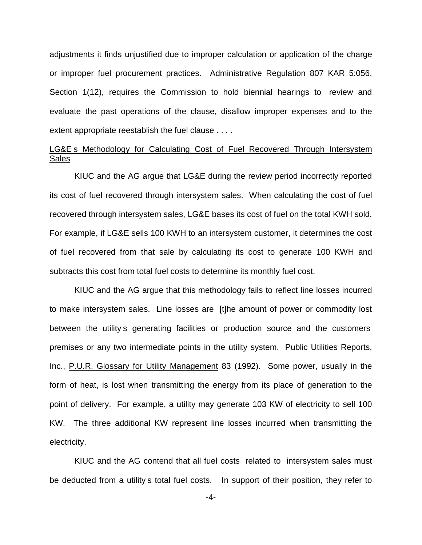adjustments it finds unjustified due to improper calculation or application of the charge or improper fuel procurement practices. Administrative Regulation 807 KAR 5:056, Section 1(12), requires the Commission to hold biennial hearings to review and evaluate the past operations of the clause, disallow improper expenses and to the extent appropriate reestablish the fuel clause . . . .

## LG&E s Methodology for Calculating Cost of Fuel Recovered Through Intersystem **Sales**

KIUC and the AG argue that LG&E during the review period incorrectly reported its cost of fuel recovered through intersystem sales. When calculating the cost of fuel recovered through intersystem sales, LG&E bases its cost of fuel on the total KWH sold. For example, if LG&E sells 100 KWH to an intersystem customer, it determines the cost of fuel recovered from that sale by calculating its cost to generate 100 KWH and subtracts this cost from total fuel costs to determine its monthly fuel cost.

KIUC and the AG argue that this methodology fails to reflect line losses incurred to make intersystem sales. Line losses are [t]he amount of power or commodity lost between the utility s generating facilities or production source and the customers premises or any two intermediate points in the utility system. Public Utilities Reports, Inc., P.U.R. Glossary for Utility Management 83 (1992). Some power, usually in the form of heat, is lost when transmitting the energy from its place of generation to the point of delivery. For example, a utility may generate 103 KW of electricity to sell 100 KW. The three additional KW represent line losses incurred when transmitting the electricity.

KIUC and the AG contend that all fuel costs related to intersystem sales must be deducted from a utility s total fuel costs. In support of their position, they refer to

-4-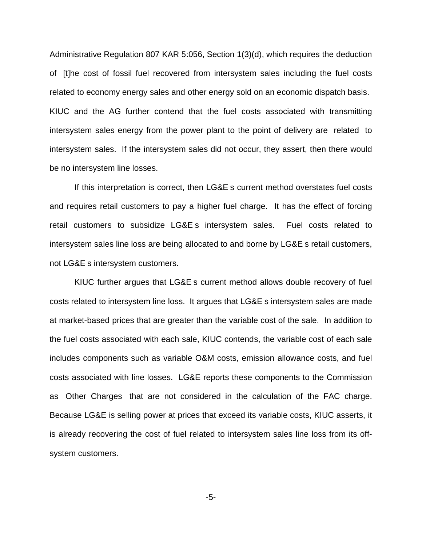Administrative Regulation 807 KAR 5:056, Section 1(3)(d), which requires the deduction of [t]he cost of fossil fuel recovered from intersystem sales including the fuel costs related to economy energy sales and other energy sold on an economic dispatch basis. KIUC and the AG further contend that the fuel costs associated with transmitting intersystem sales energy from the power plant to the point of delivery are related to intersystem sales. If the intersystem sales did not occur, they assert, then there would be no intersystem line losses.

If this interpretation is correct, then LG&E s current method overstates fuel costs and requires retail customers to pay a higher fuel charge. It has the effect of forcing retail customers to subsidize LG&E s intersystem sales. Fuel costs related to intersystem sales line loss are being allocated to and borne by LG&E s retail customers, not LG&E s intersystem customers.

KIUC further argues that LG&E s current method allows double recovery of fuel costs related to intersystem line loss. It argues that LG&E s intersystem sales are made at market-based prices that are greater than the variable cost of the sale. In addition to the fuel costs associated with each sale, KIUC contends, the variable cost of each sale includes components such as variable O&M costs, emission allowance costs, and fuel costs associated with line losses. LG&E reports these components to the Commission as Other Charges that are not considered in the calculation of the FAC charge. Because LG&E is selling power at prices that exceed its variable costs, KIUC asserts, it is already recovering the cost of fuel related to intersystem sales line loss from its offsystem customers.

-5-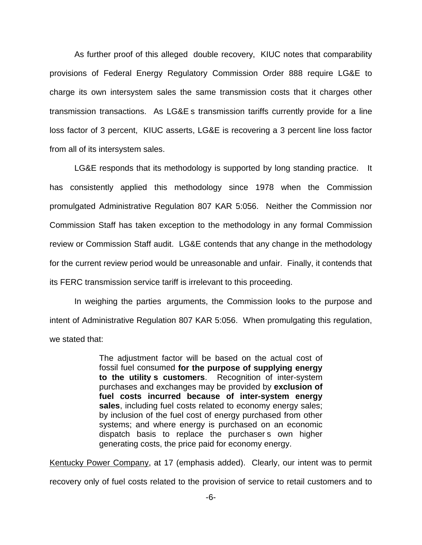As further proof of this alleged double recovery, KIUC notes that comparability provisions of Federal Energy Regulatory Commission Order 888 require LG&E to charge its own intersystem sales the same transmission costs that it charges other transmission transactions. As LG&E s transmission tariffs currently provide for a line loss factor of 3 percent, KIUC asserts, LG&E is recovering a 3 percent line loss factor from all of its intersystem sales.

LG&E responds that its methodology is supported by long standing practice. It has consistently applied this methodology since 1978 when the Commission promulgated Administrative Regulation 807 KAR 5:056. Neither the Commission nor Commission Staff has taken exception to the methodology in any formal Commission review or Commission Staff audit. LG&E contends that any change in the methodology for the current review period would be unreasonable and unfair. Finally, it contends that its FERC transmission service tariff is irrelevant to this proceeding.

In weighing the parties arguments, the Commission looks to the purpose and intent of Administrative Regulation 807 KAR 5:056. When promulgating this regulation, we stated that:

> The adjustment factor will be based on the actual cost of fossil fuel consumed **for the purpose of supplying energy to the utility s customers**. Recognition of inter-system purchases and exchanges may be provided by **exclusion of fuel costs incurred because of inter-system energy sales**, including fuel costs related to economy energy sales; by inclusion of the fuel cost of energy purchased from other systems; and where energy is purchased on an economic dispatch basis to replace the purchasers own higher generating costs, the price paid for economy energy.

Kentucky Power Company, at 17 (emphasis added). Clearly, our intent was to permit recovery only of fuel costs related to the provision of service to retail customers and to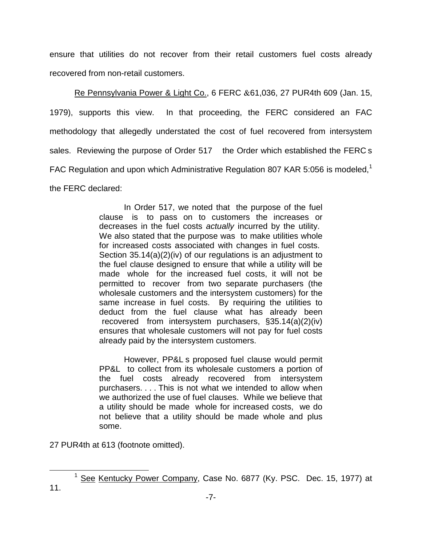ensure that utilities do not recover from their retail customers fuel costs already recovered from non-retail customers.

Re Pennsylvania Power & Light Co., 6 FERC & 61,036, 27 PUR4th 609 (Jan. 15, 1979), supports this view. In that proceeding, the FERC considered an FAC methodology that allegedly understated the cost of fuel recovered from intersystem sales. Reviewing the purpose of Order 517 the Order which established the FERC s FAC Regulation and upon which Administrative Regulation 807 KAR 5:056 is modeled,<sup>1</sup> the FERC declared:

> In Order 517, we noted that the purpose of the fuel clause is to pass on to customers the increases or decreases in the fuel costs *actually* incurred by the utility. We also stated that the purpose was to make utilities whole for increased costs associated with changes in fuel costs. Section 35.14(a)(2)(iv) of our regulations is an adjustment to the fuel clause designed to ensure that while a utility will be made whole for the increased fuel costs, it will not be permitted to recover from two separate purchasers (the wholesale customers and the intersystem customers) for the same increase in fuel costs. By requiring the utilities to deduct from the fuel clause what has already been recovered from intersystem purchasers, §35.14(a)(2)(iv) ensures that wholesale customers will not pay for fuel costs already paid by the intersystem customers.

> However, PP&L s proposed fuel clause would permit PP&L to collect from its wholesale customers a portion of the fuel costs already recovered from intersystem purchasers. . . . This is not what we intended to allow when we authorized the use of fuel clauses. While we believe that a utility should be made whole for increased costs, we do not believe that a utility should be made whole and plus some.

27 PUR4th at 613 (footnote omitted).

<sup>&</sup>lt;sup>1</sup> See Kentucky Power Company, Case No. 6877 (Ky. PSC. Dec. 15, 1977) at 11.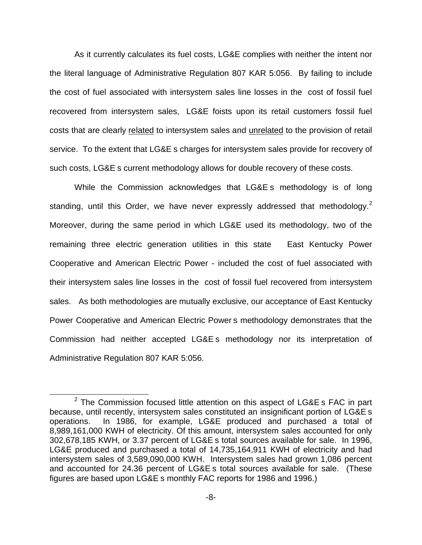As it currently calculates its fuel costs, LG&E complies with neither the intent nor the literal language of Administrative Regulation 807 KAR 5:056. By failing to include the cost of fuel associated with intersystem sales line losses in the cost of fossil fuel recovered from intersystem sales, LG&E foists upon its retail customers fossil fuel costs that are clearly related to intersystem sales and unrelated to the provision of retail service. To the extent that LG&E s charges for intersystem sales provide for recovery of such costs, LG&E s current methodology allows for double recovery of these costs.

While the Commission acknowledges that LG&E s methodology is of long standing, until this Order, we have never expressly addressed that methodology.<sup>2</sup> Moreover, during the same period in which LG&E used its methodology, two of the remaining three electric generation utilities in this state East Kentucky Power Cooperative and American Electric Power - included the cost of fuel associated with their intersystem sales line losses in the cost of fossil fuel recovered from intersystem sales. As both methodologies are mutually exclusive, our acceptance of East Kentucky Power Cooperative and American Electric Power s methodology demonstrates that the Commission had neither accepted LG&E s methodology nor its interpretation of Administrative Regulation 807 KAR 5:056.

 $2$  The Commission focused little attention on this aspect of LG&E s FAC in part because, until recently, intersystem sales constituted an insignificant portion of LG&E s operations. In 1986, for example, LG&E produced and purchased a total of 8,989,161,000 KWH of electricity. Of this amount, intersystem sales accounted for only 302,678,185 KWH, or 3.37 percent of LG&E s total sources available for sale. In 1996, LG&E produced and purchased a total of 14,735,164,911 KWH of electricity and had intersystem sales of 3,589,090,000 KWH. Intersystem sales had grown 1,086 percent and accounted for 24.36 percent of LG&E s total sources available for sale. (These figures are based upon LG&E s monthly FAC reports for 1986 and 1996.)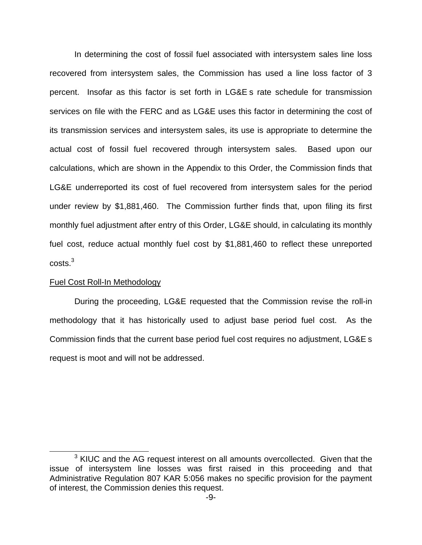In determining the cost of fossil fuel associated with intersystem sales line loss recovered from intersystem sales, the Commission has used a line loss factor of 3 percent. Insofar as this factor is set forth in LG&E s rate schedule for transmission services on file with the FERC and as LG&E uses this factor in determining the cost of its transmission services and intersystem sales, its use is appropriate to determine the actual cost of fossil fuel recovered through intersystem sales. Based upon our calculations, which are shown in the Appendix to this Order, the Commission finds that LG&E underreported its cost of fuel recovered from intersystem sales for the period under review by \$1,881,460. The Commission further finds that, upon filing its first monthly fuel adjustment after entry of this Order, LG&E should, in calculating its monthly fuel cost, reduce actual monthly fuel cost by \$1,881,460 to reflect these unreported costs.3

### Fuel Cost Roll-In Methodology

During the proceeding, LG&E requested that the Commission revise the roll-in methodology that it has historically used to adjust base period fuel cost. As the Commission finds that the current base period fuel cost requires no adjustment, LG&E s request is moot and will not be addressed.

 $3$  KIUC and the AG request interest on all amounts overcollected. Given that the issue of intersystem line losses was first raised in this proceeding and that Administrative Regulation 807 KAR 5:056 makes no specific provision for the payment of interest, the Commission denies this request.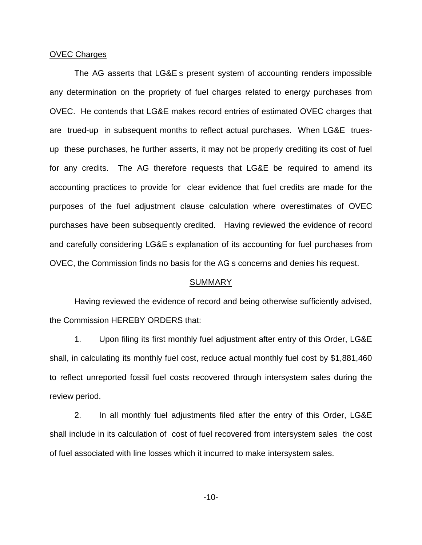### OVEC Charges

The AG asserts that LG&E s present system of accounting renders impossible any determination on the propriety of fuel charges related to energy purchases from OVEC. He contends that LG&E makes record entries of estimated OVEC charges that are trued-up in subsequent months to reflect actual purchases. When LG&E truesup these purchases, he further asserts, it may not be properly crediting its cost of fuel for any credits. The AG therefore requests that LG&E be required to amend its accounting practices to provide for clear evidence that fuel credits are made for the purposes of the fuel adjustment clause calculation where overestimates of OVEC purchases have been subsequently credited. Having reviewed the evidence of record and carefully considering LG&E s explanation of its accounting for fuel purchases from OVEC, the Commission finds no basis for the AG s concerns and denies his request.

#### **SUMMARY**

Having reviewed the evidence of record and being otherwise sufficiently advised, the Commission HEREBY ORDERS that:

1. Upon filing its first monthly fuel adjustment after entry of this Order, LG&E shall, in calculating its monthly fuel cost, reduce actual monthly fuel cost by \$1,881,460 to reflect unreported fossil fuel costs recovered through intersystem sales during the review period.

2. In all monthly fuel adjustments filed after the entry of this Order, LG&E shall include in its calculation of cost of fuel recovered from intersystem sales the cost of fuel associated with line losses which it incurred to make intersystem sales.

-10-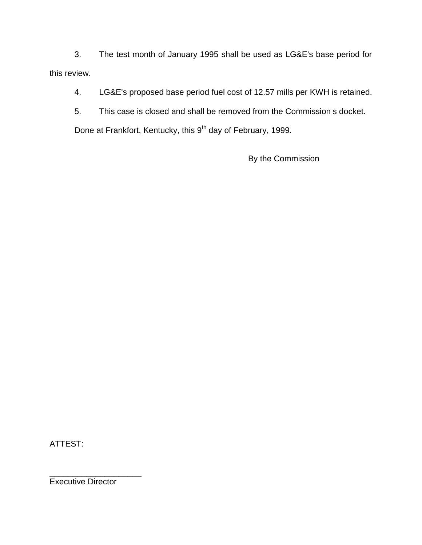3. The test month of January 1995 shall be used as LG&E's base period for this review.

4. LG&E's proposed base period fuel cost of 12.57 mills per KWH is retained.

5. This case is closed and shall be removed from the Commission s docket.

Done at Frankfort, Kentucky, this 9<sup>th</sup> day of February, 1999.

By the Commission

ATTEST:

Executive Director

\_\_\_\_\_\_\_\_\_\_\_\_\_\_\_\_\_\_\_\_